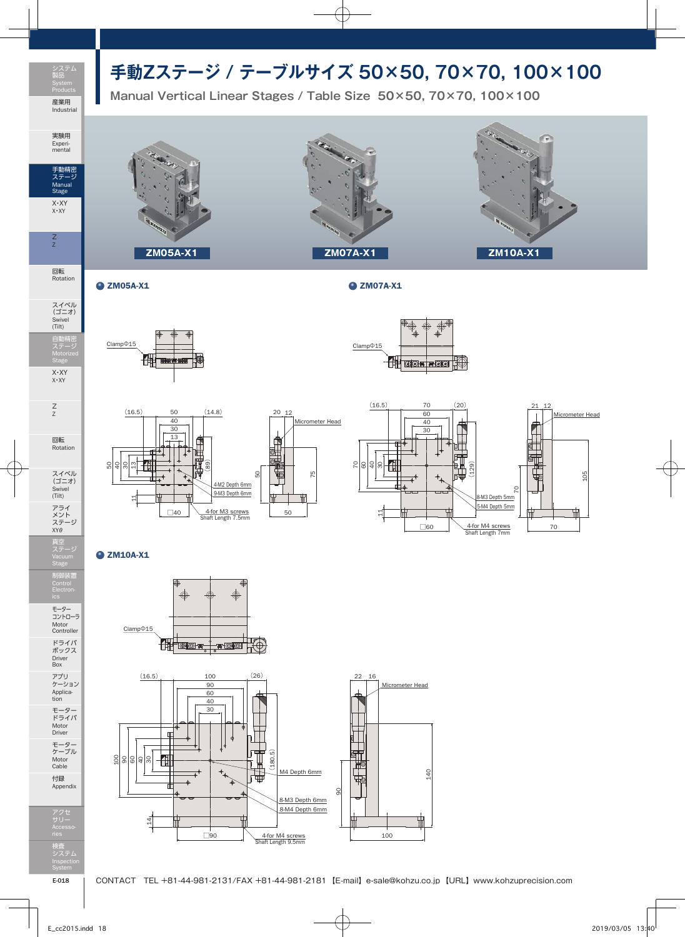## **手動Zステージ / テーブルサイズ 50×50, 70×70, 100×100**



**Manual Vertical Linear Stages / Table Size 50×50, 70×70, 100×100**



回転 Rotation

Stage X・XY X・XY

Z Z

Z Z

回転 Rotation

スイベル (ゴニオ) Swivel (Tilt) アライ メント ステージ XYθ 真空 ステージ

制御装置

モーター コントローラ Motor Controller ドライバ ボックス Driver Box

アプリ ケーション Applica-tion モーター ドライバ Motor Driver

モーター ケーブル Motor Cable 付録 Appendix

 $\bullet$  ZM05A-X1  $\bullet$  ZM07A-X1





 $(16.5)$ 

11







## **Q** ZM10A-X1

50 40 30 <u>ო</u>





検査 システム Inspection

アクセ サリー Accesso-